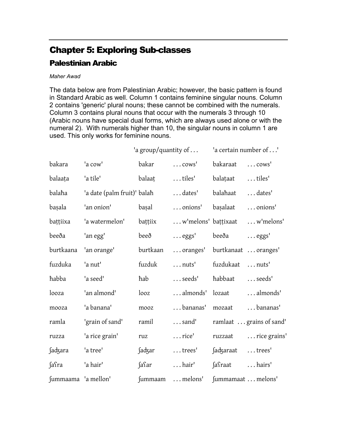## Chapter 5: Exploring Sub-classes

## Palestinian Arabic

## Maher Awad

The data below are from Palestinian Arabic; however, the basic pattern is found in Standard Arabic as well. Column 1 contains feminine singular nouns. Column 2 contains 'generic' plural nouns; these cannot be combined with the numerals. Column 3 contains plural nouns that occur with the numerals 3 through 10 (Arabic nouns have special dual forms, which are always used alone or with the numeral 2). With numerals higher than 10, the singular nouns in column 1 are used. This only works for feminine nouns.

|                     |                             | 'a group/quantity of $\dots$ |                               | 'a certain number of' |                          |
|---------------------|-----------------------------|------------------------------|-------------------------------|-----------------------|--------------------------|
| bakara              | 'a cow'                     | bakar                        | $\ldots$ cows <sup>'</sup>    | bakaraat              | $\ldots$ cows'           |
| balaata             | 'a tile'                    | balaat                       | tiles'                        | balațaat              | tiles'                   |
| balaha              | 'a date (palm fruit)' balah |                              | dates'                        | balahaat              | dates'                   |
| başala              | 'an onion'                  | bașal                        | onions'                       | başalaat              | onions'                  |
| battiixa            | 'a watermelon'              | bațțiix                      | w'melons' baṭṭixaat           |                       | w'melons'                |
| beeða               | 'an egg'                    | beeð                         | $\ldots$ eggs'                | beeða                 | $\ldots$ eggs'           |
| burtkaana           | 'an orange'                 | burtkaan                     | oranges' burtkanaat  oranges' |                       |                          |
| fuzduka             | 'a nut'                     | fuzduk                       | $\ldots$ nuts'                | fuzdukaat             | $\ldots$ nuts'           |
| habba               | 'a seed'                    | hab                          | seeds'                        | habbaat               | $\ldots$ seeds'          |
| looza               | 'an almond'                 | looz                         | almonds'                      | lozaat                | almonds'                 |
| mooza               | 'a banana'                  | mooz                         | bananas'                      | mozaat                | bananas'                 |
| ramla               | 'grain of sand'             | ramil                        | $\ldots$ sand'                |                       | ramlaat  grains of sand' |
| ruzza               | 'a rice grain'              | ruz                          | $\ldots$ rice'                | ruzzaat               | rice grains'             |
| <b>Sadzara</b>      | 'a tree'                    | <b>Sadzar</b>                | $\dots$ trees'                | ∫adʒaraat             | $\dots$ trees'           |
| ∫aſra               | 'a hair'                    | fafar                        | $\ldots$ hair'                | saraat                | hairs'                   |
| fummaama 'a mellon' |                             | <i>fummaam</i>               | melons'                       | fummamaat melons'     |                          |